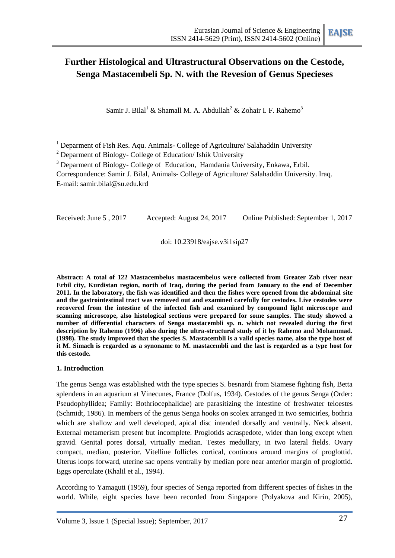# **Further Histological and Ultrastructural Observations on the Cestode, Senga Mastacembeli Sp. N. with the Revesion of Genus Specieses**

Samir J. Bilal<sup>1</sup> & Shamall M. A. Abdullah<sup>2</sup> & Zohair I. F. Rahemo<sup>3</sup>

 $1$  Deparment of Fish Res. Aqu. Animals- College of Agriculture/ Salahaddin University

<sup>2</sup> Deparment of Biology- College of Education/ Ishik University

<sup>3</sup> Deparment of Biology- College of Education, Hamdania University, Enkawa, Erbil.

Correspondence: Samir J. Bilal, Animals- College of Agriculture/ Salahaddin University. Iraq. E-mail: samir.bilal@su.edu.krd

Received: June 5 , 2017 Accepted: August 24, 2017 Online Published: September 1, 2017

doi: 10.23918/eajse.v3i1sip27

**Abstract: A total of 122 Mastacembelus mastacembelus were collected from Greater Zab river near Erbil city, Kurdistan region, north of Iraq, during the period from January to the end of December 2011. In the laboratory, the fish was identified and then the fishes were opened from the abdominal site and the gastrointestinal tract was removed out and examined carefully for cestodes. Live cestodes were recovered from the intestine of the infected fish and examined by compound light microscope and scanning microscope, also histological sections were prepared for some samples. The study showed a number of differential characters of Senga mastacembli sp. n. which not revealed during the first description by Rahemo (1996) also during the ultra-structural study of it by Rahemo and Mohammad. (1998). The study improved that the species S. Mastacembli is a valid species name, also the type host of it M. Simach is regarded as a synoname to M. mastacembli and the last is regarded as a type host for this cestode.** 

#### **1. Introduction**

The genus Senga was established with the type species S. besnardi from Siamese fighting fish, Betta splendens in an aquarium at Vinecunes, France (Dolfus, 1934). Cestodes of the genus Senga (Order: Pseudophyllidea; Family: Bothriocephalidae) are parasitizing the intestine of freshwater teloestes (Schmidt, 1986). In members of the genus Senga hooks on scolex arranged in two semicirles, bothria which are shallow and well developed, apical disc intended dorsally and ventrally. Neck absent. External metamerism present but incomplete. Proglotids acraspedote, wider than long except when gravid. Genital pores dorsal, virtually median. Testes medullary, in two lateral fields. Ovary compact, median, posterior. Vitelline follicles cortical, continous around margins of proglottid. Uterus loops forward, uterine sac opens ventrally by median pore near anterior margin of proglottid. Eggs operculate (Khalil et al., 1994).

According to Yamaguti (1959), four species of Senga reported from different species of fishes in the world. While, eight species have been recorded from Singapore (Polyakova and Kirin, 2005),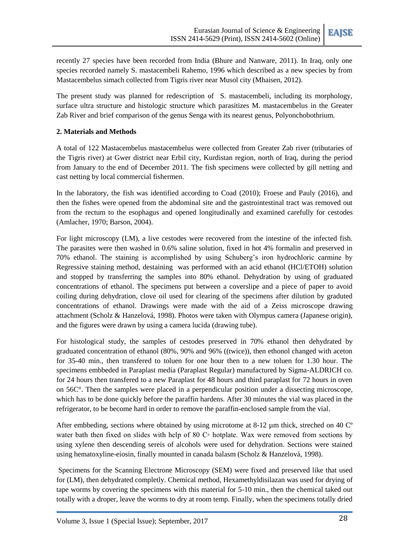recently 27 species have been recorded from India (Bhure and Nanware, 2011). In Iraq, only one species recorded namely S. mastacembeli Rahemo, 1996 which described as a new species by from Mastacembelus simach collected from Tigris river near Musol city (Mhaisen, 2012).

The present study was planned for redescription of S. mastacembeli, including its morphology, surface ultra structure and histologic structure which parasitizes M. mastacembelus in the Greater Zab River and brief comparison of the genus Senga with its nearest genus, Polyonchobothrium.

## **2. Materials and Methods**

A total of 122 Mastacembelus mastacembelus were collected from Greater Zab river (tributaries of the Tigris river) at Gwer district near Erbil city, Kurdistan region, north of Iraq, during the period from January to the end of December 2011. The fish specimens were collected by gill netting and cast netting by local commercial fishermen.

In the laboratory, the fish was identified according to Coad (2010); Froese and Pauly (2016), and then the fishes were opened from the abdominal site and the gastrointestinal tract was removed out from the rectum to the esophagus and opened longitudinally and examined carefully for cestodes (Amlacher, 1970; Barson, 2004).

For light microscopy (LM), a live cestodes were recovered from the intestine of the infected fish. The parasites were then washed in 0.6% saline solution, fixed in hot 4% formalin and preserved in 70% ethanol. The staining is accomplished by using Schuberg's iron hydrochloric carmine by Regressive staining method, destaining was performed with an acid ethanol (HCl/ETOH) solution and stopped by transferring the samples into 80% ethanol. Dehydration by using of graduated concentrations of ethanol. The specimens put between a coverslipe and a piece of paper to avoid coiling during dehydration, clove oil used for clearing of the specimens after dilution by graduted concentrations of ethanol. Drawings were made with the aid of a Zeiss microscope drawing attachment (Scholz & Hanzelová, 1998). Photos were taken with Olympus camera (Japanese origin), and the figures were drawn by using a camera lucida (drawing tube).

For histological study, the samples of cestodes preserved in 70% ethanol then dehydrated by graduated concentration of ethanol (80%, 90% and 96% ((twice)), then ethonol changed with aceton for 35-40 min., then transfered to toluen for one hour then to a new toluen for 1.30 hour. The specimens embbeded in Paraplast media (Paraplast Regular) manufactured by Sigma-ALDRICH co. for 24 hours then transfered to a new Paraplast for 48 hours and third paraplast for 72 hours in oven on 56C°. Then the samples were placed in a perpendicular position under a dissecting microscope, which has to be done quickly before the paraffin hardens. After 30 minutes the vial was placed in the refrigerator, to be become hard in order to remove the paraffin-enclosed sample from the vial.

After embbeding, sections where obtained by using microtome at 8-12 um thick, streched on 40  $\degree$ water bath then fixed on slides with help of 80 C◦ hotplate. Wax were removed from sections by using xylene then descending sereis of alcohols were used for dehydration. Sections were stained using hematoxyline-eiosin, finally mounted in canada balasm (Scholz & Hanzelová, 1998).

Specimens for the Scanning Electrone Microscopy (SEM) were fixed and preserved like that used for (LM), then dehydrated completly. Chemical method, Hexamethyldisilazan was used for drying of tape worms by covering the specimens with this material for 5-10 min., then the chemical taked out totally with a droper, leave the worms to dry at room temp. Finally, when the specimens totally dried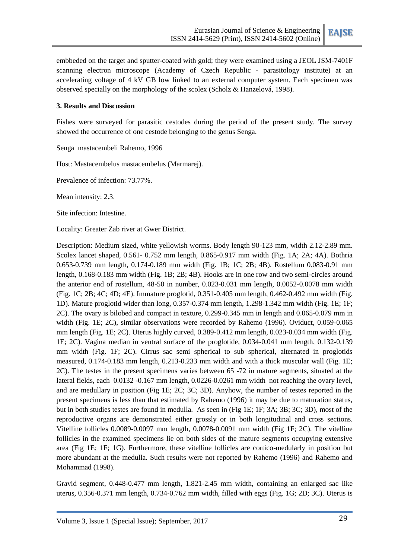embbeded on the target and sputter-coated with gold; they were examined using a JEOL JSM-7401F scanning electron microscope (Academy of Czech Republic - parasitology institute) at an accelerating voltage of 4 kV GB low linked to an external computer system. Each specimen was observed specially on the morphology of the scolex (Scholz & Hanzelová, 1998).

## **3. Results and Discussion**

Fishes were surveyed for parasitic cestodes during the period of the present study. The survey showed the occurrence of one cestode belonging to the genus Senga.

Senga mastacembeli Rahemo, 1996

Host: Mastacembelus mastacembelus (Marmarej).

Prevalence of infection: 73.77%.

Mean intensity: 2.3.

Site infection: Intestine.

Locality: Greater Zab river at Gwer District.

Description: Medium sized, white yellowish worms. Body length 90-123 mm, width 2.12-2.89 mm. Scolex lancet shaped, 0.561- 0.752 mm length, 0.865-0.917 mm width (Fig. 1A; 2A; 4A). Bothria 0.653-0.739 mm length, 0.174-0.189 mm width (Fig. 1B; 1C; 2B; 4B). Rostellum 0.083-0.91 mm length, 0.168-0.183 mm width (Fig. 1B; 2B; 4B). Hooks are in one row and two semi-circles around the anterior end of rostellum, 48-50 in number, 0.023-0.031 mm length, 0.0052-0.0078 mm width (Fig. 1C; 2B; 4C; 4D; 4E). Immature proglotid, 0.351-0.405 mm length, 0.462-0.492 mm width (Fig. 1D). Mature proglotid wider than long, 0.357-0.374 mm length, 1.298-1.342 mm width (Fig. 1E; 1F; 2C). The ovary is bilobed and compact in texture, 0.299-0.345 mm in length and 0.065-0.079 mm in width (Fig. 1E; 2C), similar observations were recorded by Rahemo (1996). Oviduct, 0.059-0.065 mm length (Fig. 1E; 2C). Uterus highly curved, 0.389-0.412 mm length, 0.023-0.034 mm width (Fig. 1E; 2C). Vagina median in ventral surface of the proglotide, 0.034-0.041 mm length, 0.132-0.139 mm width (Fig. 1F; 2C). Cirrus sac semi spherical to sub spherical, alternated in proglotids measured, 0.174-0.183 mm length, 0.213-0.233 mm width and with a thick muscular wall (Fig. 1E; 2C). The testes in the present specimens varies between 65 -72 in mature segments, situated at the lateral fields, each 0.0132 -0.167 mm length, 0.0226-0.0261 mm width not reaching the ovary level, and are medullary in position (Fig 1E; 2C; 3C; 3D). Anyhow, the number of testes reported in the present specimens is less than that estimated by Rahemo (1996) it may be due to maturation status, but in both studies testes are found in medulla. As seen in (Fig 1E; 1F; 3A; 3B; 3C; 3D), most of the reproductive organs are demonstrated either grossly or in both longitudinal and cross sections. Vitelline follicles 0.0089-0.0097 mm length, 0.0078-0.0091 mm width (Fig 1F; 2C). The vitelline follicles in the examined specimens lie on both sides of the mature segments occupying extensive area (Fig 1E; 1F; 1G). Furthermore, these vitelline follicles are cortico-medularly in position but more abundant at the medulla. Such results were not reported by Rahemo (1996) and Rahemo and Mohammad (1998).

Gravid segment, 0.448-0.477 mm length, 1.821-2.45 mm width, containing an enlarged sac like uterus, 0.356-0.371 mm length, 0.734-0.762 mm width, filled with eggs (Fig. 1G; 2D; 3C). Uterus is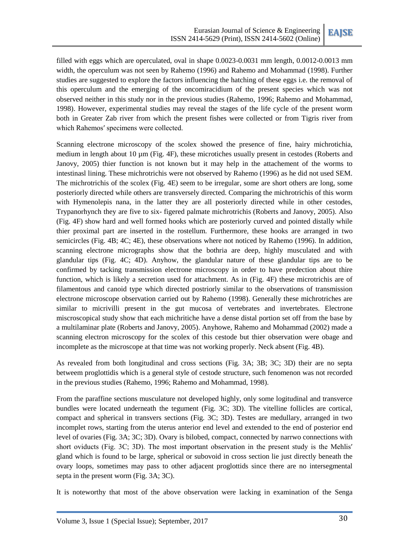filled with eggs which are operculated, oval in shape 0.0023-0.0031 mm length, 0.0012-0.0013 mm width, the operculum was not seen by Rahemo (1996) and Rahemo and Mohammad (1998). Further studies are suggested to explore the factors influencing the hatching of these eggs i.e. the removal of this operculum and the emerging of the oncomiracidium of the present species which was not observed neither in this study nor in the previous studies (Rahemo, 1996; Rahemo and Mohammad, 1998). However, experimental studies may reveal the stages of the life cycle of the present worm both in Greater Zab river from which the present fishes were collected or from Tigris river from which Rahemosʹ specimens were collected.

Scanning electrone microscopy of the scolex showed the presence of fine, hairy michrotichia, medium in length about 10  $\mu$ m (Fig. 4F), these microtiches usually present in cestodes (Roberts and Janovy, 2005) thier function is not known but it may help in the attachement of the worms to intestinasl lining. These michrotrichis were not observed by Rahemo (1996) as he did not used SEM. The michrotrichis of the scolex (Fig. 4E) seem to be irregular, some are short others are long, some posteriorly directed while others are transversely directed. Comparing the michrotrichis of this worm with Hymenolepis nana, in the latter they are all posteriorly directed while in other cestodes, Trypanorhynch they are five to six- figered palmate michrotrichis (Roberts and Janovy, 2005). Also (Fig. 4F) show hard and well formed hooks which are posteriorly curved and pointed distally while thier proximal part are inserted in the rostellum. Furthermore, these hooks are arranged in two semicircles (Fig. 4B; 4C; 4E), these observations where not noticed by Rahemo (1996). In addition, scanning electrone micrographs show that the bothria are deep, highly musculated and with glandular tips (Fig. 4C; 4D). Anyhow, the glandular nature of these glandular tips are to be confirmed by tacking transmission electrone microscopy in order to have predection about thire function, which is likely a secretion used for attachment. As in (Fig. 4F) these microtrichis are of filamentous and canoid type which directed postriorly similar to the observations of transmission electrone microscope observation carried out by Rahemo (1998). Generally these michrotriches are similar to micrivilli present in the gut mucosa of vertebrates and invertebrates. Electrone miscroscopical study show that each michritiche have a dense distal portion set off from the base by a multilaminar plate (Roberts and Janovy, 2005). Anyhowe, Rahemo and Mohammad (2002) made a scanning electron microscopy for the scolex of this cestode but thier observation were obage and incomplete as the microscope at that time was not working properly. Neck absent (Fig. 4B).

As revealed from both longitudinal and cross sections (Fig. 3A; 3B; 3C; 3D) their are no septa betweem proglottidis which is a general style of cestode structure, such fenomenon was not recorded in the previous studies (Rahemo, 1996; Rahemo and Mohammad, 1998).

From the paraffine sections musculature not developed highly, only some logitudinal and transverce bundles were located underneath the tegument (Fig. 3C; 3D). The vitelline follicles are cortical, compact and spherical in transvers sections (Fig. 3C; 3D). Testes are medullary, arranged in two incomplet rows, starting from the uterus anterior end level and extended to the end of posterior end level of ovaries (Fig. 3A; 3C; 3D). Ovary is bilobed, compact, connected by narrwo connections with short oviducts (Fig. 3C; 3D). The most important observation in the present study is the Mehlis' gland which is found to be large, spherical or subovoid in cross section lie just directly beneath the ovary loops, sometimes may pass to other adjacent proglottids since there are no intersegmental septa in the present worm (Fig. 3A; 3C).

It is noteworthy that most of the above observation were lacking in examination of the Senga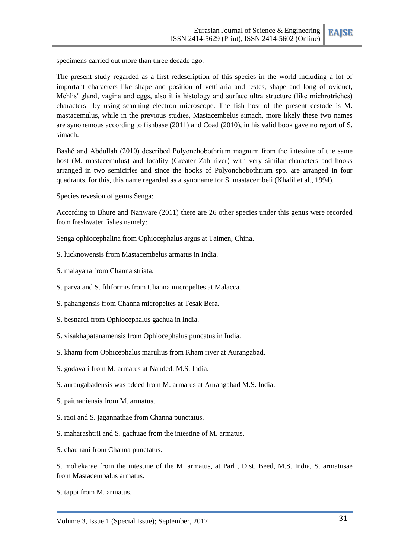

specimens carried out more than three decade ago.

The present study regarded as a first redescription of this species in the world including a lot of important characters like shape and position of vettilaria and testes, shape and long of oviduct, Mehlis' gland, vagina and eggs, also it is histology and surface ultra structure (like michrotriches) characters by using scanning electron microscope. The fish host of the present cestode is M. mastacemulus, while in the previous studies, Mastacembelus simach, more likely these two names are synonemous according to fishbase (2011) and Coad (2010), in his valid book gave no report of S. simach.

Bashě and Abdullah (2010) described Polyonchobothrium magnum from the intestine of the same host (M. mastacemulus) and locality (Greater Zab river) with very similar characters and hooks arranged in two semicirles and since the hooks of Polyonchobothrium spp. are arranged in four quadrants, for this, this name regarded as a synoname for S. mastacembeli (Khalil et al., 1994).

Species revesion of genus Senga:

According to Bhure and Nanware (2011) there are 26 other species under this genus were recorded from freshwater fishes namely:

Senga ophiocephalina from Ophiocephalus argus at Taimen, China.

- S. lucknowensis from Mastacembelus armatus in India.
- S. malayana from Channa striata.
- S. parva and S. filiformis from Channa micropeltes at Malacca.
- S. pahangensis from Channa micropeltes at Tesak Bera.
- S. besnardi from Ophiocephalus gachua in India.
- S. visakhapatanamensis from Ophiocephalus puncatus in India.
- S. khami from Ophicephalus marulius from Kham river at Aurangabad.
- S. godavari from M. armatus at Nanded, M.S. India.
- S. aurangabadensis was added from M. armatus at Aurangabad M.S. India.
- S. paithaniensis from M. armatus.
- S. raoi and S. jagannathae from Channa punctatus.
- S. maharashtrii and S. gachuae from the intestine of M. armatus.
- S. chauhani from Channa punctatus.

S. mohekarae from the intestine of the M. armatus, at Parli, Dist. Beed, M.S. India, S. armatusae from Mastacembalus armatus.

S. tappi from M. armatus.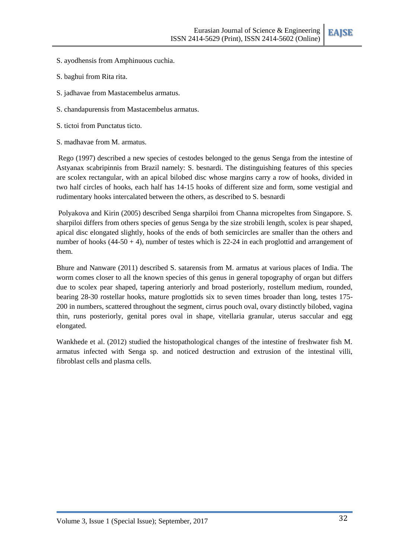- S. ayodhensis from Amphinuous cuchia.
- S. baghui from Rita rita.
- S. jadhavae from Mastacembelus armatus.
- S. chandapurensis from Mastacembelus armatus.
- S. tictoi from Punctatus ticto.
- S. madhavae from M. armatus.

Rego (1997) described a new species of cestodes belonged to the genus Senga from the intestine of Astyanax scabripinnis from Brazil namely: S. besnardi. The distinguishing features of this species are scolex rectangular, with an apical bilobed disc whose margins carry a row of hooks, divided in two half circles of hooks, each half has 14-15 hooks of different size and form, some vestigial and rudimentary hooks intercalated between the others, as described to S. besnardi

Polyakova and Kirin (2005) described Senga sharpiloi from Channa micropeltes from Singapore. S. sharpiloi differs from others species of genus Senga by the size strobili length, scolex is pear shaped, apical disc elongated slightly, hooks of the ends of both semicircles are smaller than the others and number of hooks (44-50 + 4), number of testes which is 22-24 in each proglottid and arrangement of them.

Bhure and Nanware (2011) described S. satarensis from M. armatus at various places of India. The worm comes closer to all the known species of this genus in general topography of organ but differs due to scolex pear shaped, tapering anteriorly and broad posteriorly, rostellum medium, rounded, bearing 28-30 rostellar hooks, mature proglottids six to seven times broader than long, testes 175- 200 in numbers, scattered throughout the segment, cirrus pouch oval, ovary distinctly bilobed, vagina thin, runs posteriorly, genital pores oval in shape, vitellaria granular, uterus saccular and egg elongated.

Wankhede et al. (2012) studied the histopathological changes of the intestine of freshwater fish M. armatus infected with Senga sp. and noticed destruction and extrusion of the intestinal villi, fibroblast cells and plasma cells.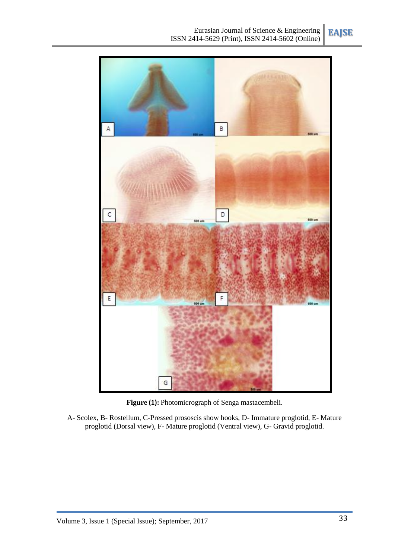

**Figure (1):** Photomicrograph of Senga mastacembeli.

A- Scolex, B- Rostellum, C-Pressed prososcis show hooks, D- Immature proglotid, E- Mature proglotid (Dorsal view), F- Mature proglotid (Ventral view), G- Gravid proglotid.

**EAJSE**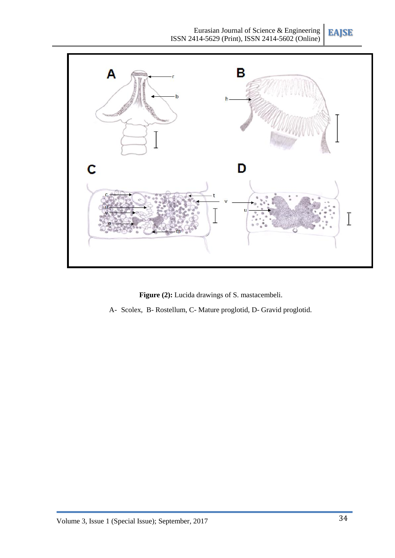**EAJSE**



Figure (2): Lucida drawings of S. mastacembeli.

A- Scolex, B- Rostellum, C- Mature proglotid, D- Gravid proglotid.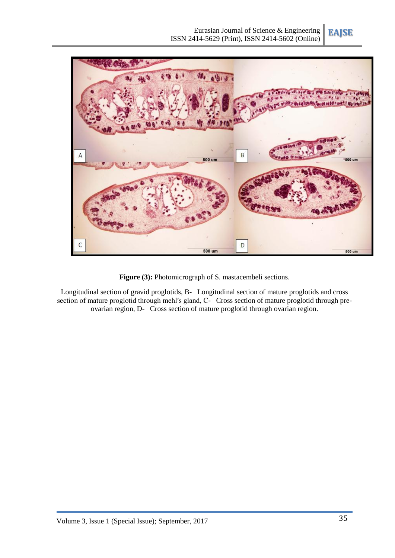



Figure (3): Photomicrograph of S. mastacembeli sections.

Longitudinal section of gravid proglotids, B- Longitudinal section of mature proglotids and cross section of mature proglotid through mehl's gland, C- Cross section of mature proglotid through preovarian region, D- Cross section of mature proglotid through ovarian region.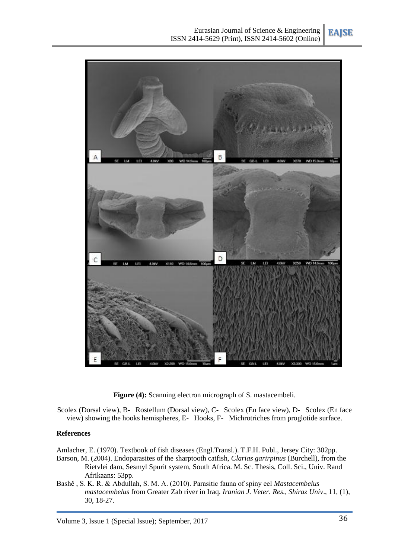**EAJSE**



Figure (4): Scanning electron micrograph of S. mastacembeli.

Scolex (Dorsal view), B- Rostellum (Dorsal view), C- Scolex (En face view), D- Scolex (En face view) showing the hooks hemispheres, E- Hooks, F- Michrotriches from proglotide surface.

### **References**

Amlacher, E. (1970). Textbook of fish diseases (Engl.Transl.). T.F.H. Publ., Jersey City: 302pp.

- Barson, M. (2004). Endoparasites of the sharptooth catfish, *Clarias garirpinus* (Burchell), from the Rietvlei dam, Sesmyl Spurit system, South Africa. M. Sc. Thesis, Coll. Sci., Univ. Rand Afrikaans: 53pp.
- Bashě , S. K. R. & Abdullah, S. M. A. (2010). Parasitic fauna of spiny eel *Mastacembelus mastacembelus* from Greater Zab river in Iraq. *Iranian J. Veter. Res., Shiraz Univ*., 11, (1), 30, 18-27.